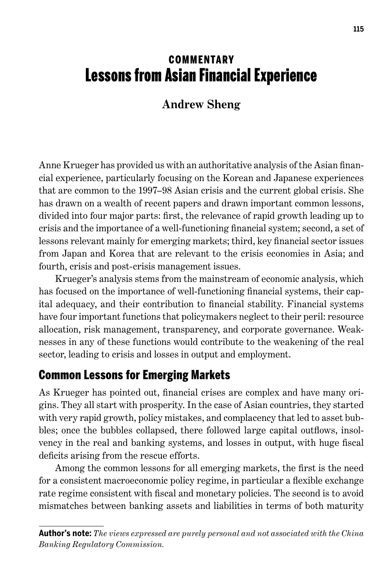# **COMMENTARY** Lessons from Asian Financial Experience

### **Andrew Sheng**

Anne Krueger has provided us with an authoritative analysis of the Asian financial experience, particularly focusing on the Korean and Japanese experiences that are common to the 1997–98 Asian crisis and the current global crisis. She has drawn on a wealth of recent papers and drawn important common lessons, divided into four major parts: first, the relevance of rapid growth leading up to crisis and the importance of a well-functioning financial system; second, a set of lessons relevant mainly for emerging markets; third, key financial sector issues from Japan and Korea that are relevant to the crisis economies in Asia; and fourth, crisis and post-crisis management issues.

Krueger's analysis stems from the mainstream of economic analysis, which has focused on the importance of well-functioning financial systems, their capital adequacy, and their contribution to financial stability. Financial systems have four important functions that policymakers neglect to their peril: resource allocation, risk management, transparency, and corporate governance. Weaknesses in any of these functions would contribute to the weakening of the real sector, leading to crisis and losses in output and employment.

## Common Lessons for Emerging Markets

As Krueger has pointed out, financial crises are complex and have many origins. They all start with prosperity. In the case of Asian countries, they started with very rapid growth, policy mistakes, and complacency that led to asset bubbles; once the bubbles collapsed, there followed large capital outflows, insolvency in the real and banking systems, and losses in output, with huge fiscal deficits arising from the rescue efforts.

Among the common lessons for all emerging markets, the first is the need for a consistent macroeconomic policy regime, in particular a flexible exchange rate regime consistent with fiscal and monetary policies. The second is to avoid mismatches between banking assets and liabilities in terms of both maturity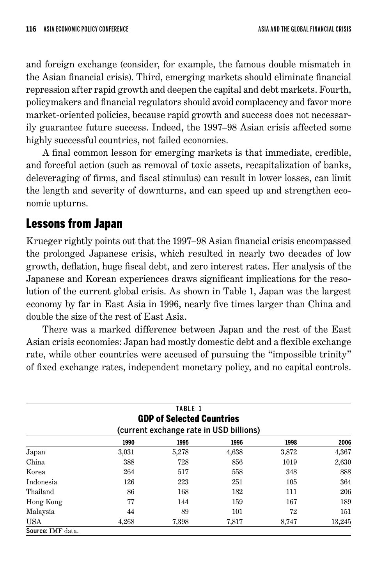and foreign exchange (consider, for example, the famous double mismatch in the Asian financial crisis). Third, emerging markets should eliminate financial repression after rapid growth and deepen the capital and debt markets. Fourth, policymakers and financial regulators should avoid complacency and favor more market-oriented policies, because rapid growth and success does not necessarily guarantee future success. Indeed, the 1997–98 Asian crisis affected some highly successful countries, not failed economies.

A final common lesson for emerging markets is that immediate, credible, and forceful action (such as removal of toxic assets, recapitalization of banks, deleveraging of firms, and fiscal stimulus) can result in lower losses, can limit the length and severity of downturns, and can speed up and strengthen economic upturns.

# Lessons from Japan

Krueger rightly points out that the 1997–98 Asian financial crisis encompassed the prolonged Japanese crisis, which resulted in nearly two decades of low growth, deflation, huge fiscal debt, and zero interest rates. Her analysis of the Japanese and Korean experiences draws significant implications for the resolution of the current global crisis. As shown in Table 1, Japan was the largest economy by far in East Asia in 1996, nearly five times larger than China and double the size of the rest of East Asia.

There was a marked difference between Japan and the rest of the East Asian crisis economies: Japan had mostly domestic debt and a flexible exchange rate, while other countries were accused of pursuing the "impossible trinity" of fixed exchange rates, independent monetary policy, and no capital controls.

|                                         |       | TABLE 1 |       |       |        |  |  |  |  |
|-----------------------------------------|-------|---------|-------|-------|--------|--|--|--|--|
| <b>GDP of Selected Countries</b>        |       |         |       |       |        |  |  |  |  |
| (current exchange rate in USD billions) |       |         |       |       |        |  |  |  |  |
|                                         | 1990  | 1995    | 1996  | 1998  | 2006   |  |  |  |  |
| Japan                                   | 3,031 | 5,278   | 4,638 | 3,872 | 4,367  |  |  |  |  |
| China                                   | 388   | 728     | 856   | 1019  | 2,630  |  |  |  |  |
| Korea                                   | 264   | 517     | 558   | 348   | 888    |  |  |  |  |
| Indonesia                               | 126   | 223     | 251   | 105   | 364    |  |  |  |  |
| Thailand                                | 86    | 168     | 182   | 111   | 206    |  |  |  |  |
| Hong Kong                               | 77    | 144     | 159   | 167   | 189    |  |  |  |  |
| Malaysia                                | 44    | 89      | 101   | 72    | 151    |  |  |  |  |
| <b>USA</b>                              | 4,268 | 7,398   | 7,817 | 8,747 | 13,245 |  |  |  |  |
| Source: IMF data.                       |       |         |       |       |        |  |  |  |  |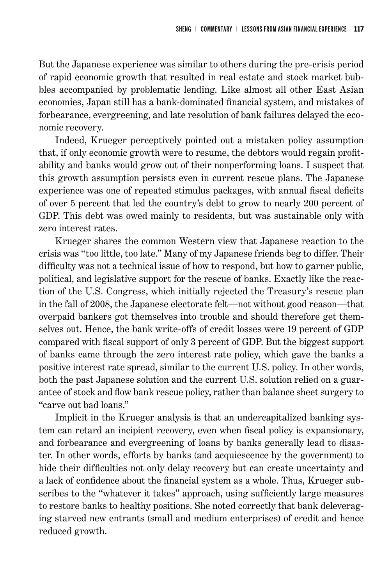But the Japanese experience was similar to others during the pre-crisis period of rapid economic growth that resulted in real estate and stock market bubbles accompanied by problematic lending. Like almost all other East Asian economies, Japan still has a bank-dominated financial system, and mistakes of forbearance, evergreening, and late resolution of bank failures delayed the economic recovery.

Indeed, Krueger perceptively pointed out a mistaken policy assumption that, if only economic growth were to resume, the debtors would regain profitability and banks would grow out of their nonperforming loans. I suspect that this growth assumption persists even in current rescue plans. The Japanese experience was one of repeated stimulus packages, with annual fiscal deficits of over 5 percent that led the country's debt to grow to nearly 200 percent of GDP. This debt was owed mainly to residents, but was sustainable only with zero interest rates.

Krueger shares the common Western view that Japanese reaction to the crisis was "too little, too late." Many of my Japanese friends beg to differ. Their difficulty was not a technical issue of how to respond, but how to garner public, political, and legislative support for the rescue of banks. Exactly like the reaction of the U.S. Congress, which initially rejected the Treasury's rescue plan in the fall of 2008, the Japanese electorate felt—not without good reason—that overpaid bankers got themselves into trouble and should therefore get themselves out. Hence, the bank write-offs of credit losses were 19 percent of GDP compared with fiscal support of only 3 percent of GDP. But the biggest support of banks came through the zero interest rate policy, which gave the banks a positive interest rate spread, similar to the current U.S. policy. In other words, both the past Japanese solution and the current U.S. solution relied on a guarantee of stock and flow bank rescue policy, rather than balance sheet surgery to "carve out bad loans."

Implicit in the Krueger analysis is that an undercapitalized banking system can retard an incipient recovery, even when fiscal policy is expansionary, and forbearance and evergreening of loans by banks generally lead to disaster. In other words, efforts by banks (and acquiescence by the government) to hide their difficulties not only delay recovery but can create uncertainty and a lack of confidence about the financial system as a whole. Thus, Krueger subscribes to the "whatever it takes" approach, using sufficiently large measures to restore banks to healthy positions. She noted correctly that bank deleveraging starved new entrants (small and medium enterprises) of credit and hence reduced growth.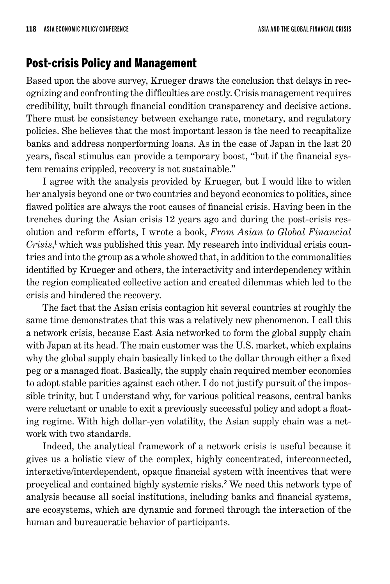#### Post-crisis Policy and Management

Based upon the above survey, Krueger draws the conclusion that delays in recognizing and confronting the difficulties are costly. Crisis management requires credibility, built through financial condition transparency and decisive actions. There must be consistency between exchange rate, monetary, and regulatory policies. She believes that the most important lesson is the need to recapitalize banks and address nonperforming loans. As in the case of Japan in the last 20 years, fiscal stimulus can provide a temporary boost, "but if the financial system remains crippled, recovery is not sustainable."

I agree with the analysis provided by Krueger, but I would like to widen her analysis beyond one or two countries and beyond economics to politics, since flawed politics are always the root causes of financial crisis. Having been in the trenches during the Asian crisis 12 years ago and during the post-crisis resolution and reform efforts, I wrote a book, *From Asian to Global Financial*  Crisis,<sup>1</sup> which was published this year. My research into individual crisis countries and into the group as a whole showed that, in addition to the commonalities identified by Krueger and others, the interactivity and interdependency within the region complicated collective action and created dilemmas which led to the crisis and hindered the recovery.

The fact that the Asian crisis contagion hit several countries at roughly the same time demonstrates that this was a relatively new phenomenon. I call this a network crisis, because East Asia networked to form the global supply chain with Japan at its head. The main customer was the U.S. market, which explains why the global supply chain basically linked to the dollar through either a fixed peg or a managed float. Basically, the supply chain required member economies to adopt stable parities against each other. I do not justify pursuit of the impossible trinity, but I understand why, for various political reasons, central banks were reluctant or unable to exit a previously successful policy and adopt a floating regime. With high dollar-yen volatility, the Asian supply chain was a network with two standards.

Indeed, the analytical framework of a network crisis is useful because it gives us a holistic view of the complex, highly concentrated, interconnected, interactive/interdependent, opaque financial system with incentives that were procyclical and contained highly systemic risks. 2 We need this network type of analysis because all social institutions, including banks and financial systems, are ecosystems, which are dynamic and formed through the interaction of the human and bureaucratic behavior of participants.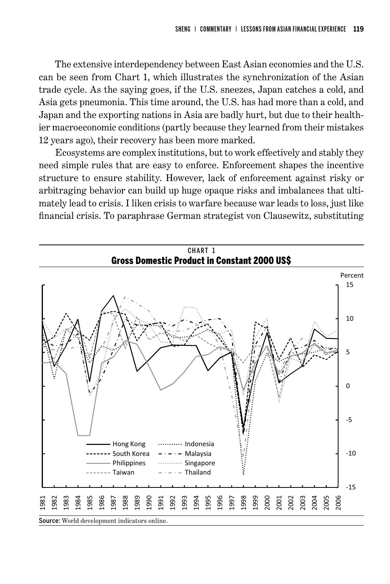The extensive interdependency between East Asian economies and the U.S. can be seen from Chart 1, which illustrates the synchronization of the Asian trade cycle. As the saying goes, if the U.S. sneezes, Japan catches a cold, and Asia gets pneumonia. This time around, the U.S. has had more than a cold, and Japan and the exporting nations in Asia are badly hurt, but due to their healthier macroeconomic conditions (partly because they learned from their mistakes 12 years ago), their recovery has been more marked.

Ecosystems are complex institutions, but to work effectively and stably they need simple rules that are easy to enforce. Enforcement shapes the incentive structure to ensure stability. However, lack of enforcement against risky or arbitraging behavior can build up huge opaque risks and imbalances that ultimately lead to crisis. I liken crisis to warfare because war leads to loss, just like financial crisis. To paraphrase German strategist von Clausewitz, substituting

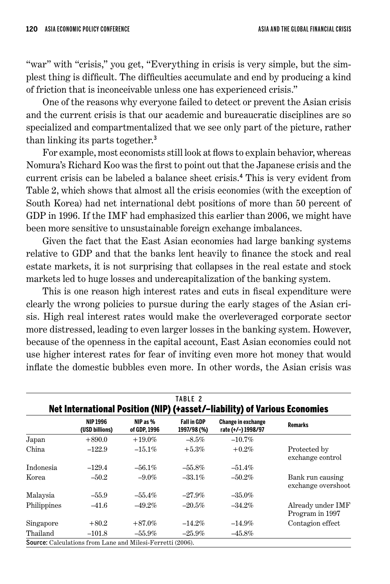"war" with "crisis," you get, "Everything in crisis is very simple, but the simplest thing is difficult. The difficulties accumulate and end by producing a kind of friction that is inconceivable unless one has experienced crisis."

One of the reasons why everyone failed to detect or prevent the Asian crisis and the current crisis is that our academic and bureaucratic disciplines are so specialized and compartmentalized that we see only part of the picture, rather than linking its parts together. 3

For example, most economists still look at flows to explain behavior, whereas Nomura's Richard Koo was the first to point out that the Japanese crisis and the current crisis can be labeled a balance sheet crisis. 4 This is very evident from Table 2, which shows that almost all the crisis economies (with the exception of South Korea) had net international debt positions of more than 50 percent of GDP in 1996. If the IMF had emphasized this earlier than 2006, we might have been more sensitive to unsustainable foreign exchange imbalances.

Given the fact that the East Asian economies had large banking systems relative to GDP and that the banks lent heavily to finance the stock and real estate markets, it is not surprising that collapses in the real estate and stock markets led to huge losses and undercapitalization of the banking system.

This is one reason high interest rates and cuts in fiscal expenditure were clearly the wrong policies to pursue during the early stages of the Asian crisis. High real interest rates would make the overleveraged corporate sector more distressed, leading to even larger losses in the banking system. However, because of the openness in the capital account, East Asian economies could not use higher interest rates for fear of inviting even more hot money that would inflate the domestic bubbles even more. In other words, the Asian crisis was

|                                                                           |                                                                   |                          | TABLE 2                           |                                                 |                                        |  |  |  |
|---------------------------------------------------------------------------|-------------------------------------------------------------------|--------------------------|-----------------------------------|-------------------------------------------------|----------------------------------------|--|--|--|
| Net International Position (NIP) (+asset/-liability) of Various Economies |                                                                   |                          |                                   |                                                 |                                        |  |  |  |
|                                                                           | <b>NIP 1996</b><br>(USD billions)                                 | NIP as %<br>of GDP, 1996 | <b>Fall in GDP</b><br>1997/98 (%) | <b>Change in exchange</b><br>rate (+/-) 1998/97 | <b>Remarks</b>                         |  |  |  |
| Japan                                                                     | $+890.0$                                                          | $+19.0\%$                | $-8.5\%$                          | $-10.7\%$                                       |                                        |  |  |  |
| China                                                                     | $-122.9$                                                          | $-15.1\%$                | $+5.3%$                           | $+0.2\%$                                        | Protected by<br>exchange control       |  |  |  |
| Indonesia                                                                 | $-129.4$                                                          | $-56.1\%$                | $-55.8\%$                         | $-51.4\%$                                       |                                        |  |  |  |
| Korea                                                                     | $-50.2$                                                           | $-9.0\%$                 | $-33.1\%$                         | $-50.2\%$                                       | Bank run causing<br>exchange overshoot |  |  |  |
| Malaysia                                                                  | $-55.9$                                                           | $-55.4\%$                | $-27.9\%$                         | $-35.0\%$                                       |                                        |  |  |  |
| Philippines                                                               | $-41.6$                                                           | $-49.2\%$                | $-20.5\%$                         | $-34.2\%$                                       | Already under IMF<br>Program in 1997   |  |  |  |
| Singapore                                                                 | $+80.2$                                                           | $+87.0\%$                | $-14.2\%$                         | $-14.9\%$                                       | Contagion effect                       |  |  |  |
| Thailand                                                                  | $-101.8$                                                          | $-55.9\%$                | $-25.9\%$                         | $-45.8\%$                                       |                                        |  |  |  |
|                                                                           | <b>Source:</b> Calculations from Lane and Milesi-Ferretti (2006). |                          |                                   |                                                 |                                        |  |  |  |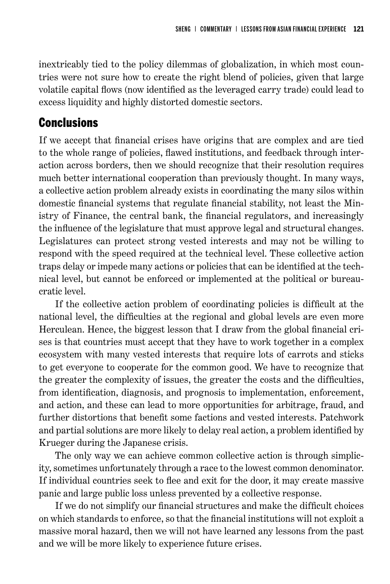inextricably tied to the policy dilemmas of globalization, in which most countries were not sure how to create the right blend of policies, given that large volatile capital flows (now identified as the leveraged carry trade) could lead to excess liquidity and highly distorted domestic sectors.

### **Conclusions**

If we accept that financial crises have origins that are complex and are tied to the whole range of policies, flawed institutions, and feedback through interaction across borders, then we should recognize that their resolution requires much better international cooperation than previously thought. In many ways, a collective action problem already exists in coordinating the many silos within domestic financial systems that regulate financial stability, not least the Ministry of Finance, the central bank, the financial regulators, and increasingly the influence of the legislature that must approve legal and structural changes. Legislatures can protect strong vested interests and may not be willing to respond with the speed required at the technical level. These collective action traps delay or impede many actions or policies that can be identified at the technical level, but cannot be enforced or implemented at the political or bureaucratic level.

If the collective action problem of coordinating policies is difficult at the national level, the difficulties at the regional and global levels are even more Herculean. Hence, the biggest lesson that I draw from the global financial crises is that countries must accept that they have to work together in a complex ecosystem with many vested interests that require lots of carrots and sticks to get everyone to cooperate for the common good. We have to recognize that the greater the complexity of issues, the greater the costs and the difficulties, from identification, diagnosis, and prognosis to implementation, enforcement, and action, and these can lead to more opportunities for arbitrage, fraud, and further distortions that benefit some factions and vested interests. Patchwork and partial solutions are more likely to delay real action, a problem identified by Krueger during the Japanese crisis.

The only way we can achieve common collective action is through simplicity, sometimes unfortunately through a race to the lowest common denominator. If individual countries seek to flee and exit for the door, it may create massive panic and large public loss unless prevented by a collective response.

If we do not simplify our financial structures and make the difficult choices on which standards to enforce, so that the financial institutions will not exploit a massive moral hazard, then we will not have learned any lessons from the past and we will be more likely to experience future crises.